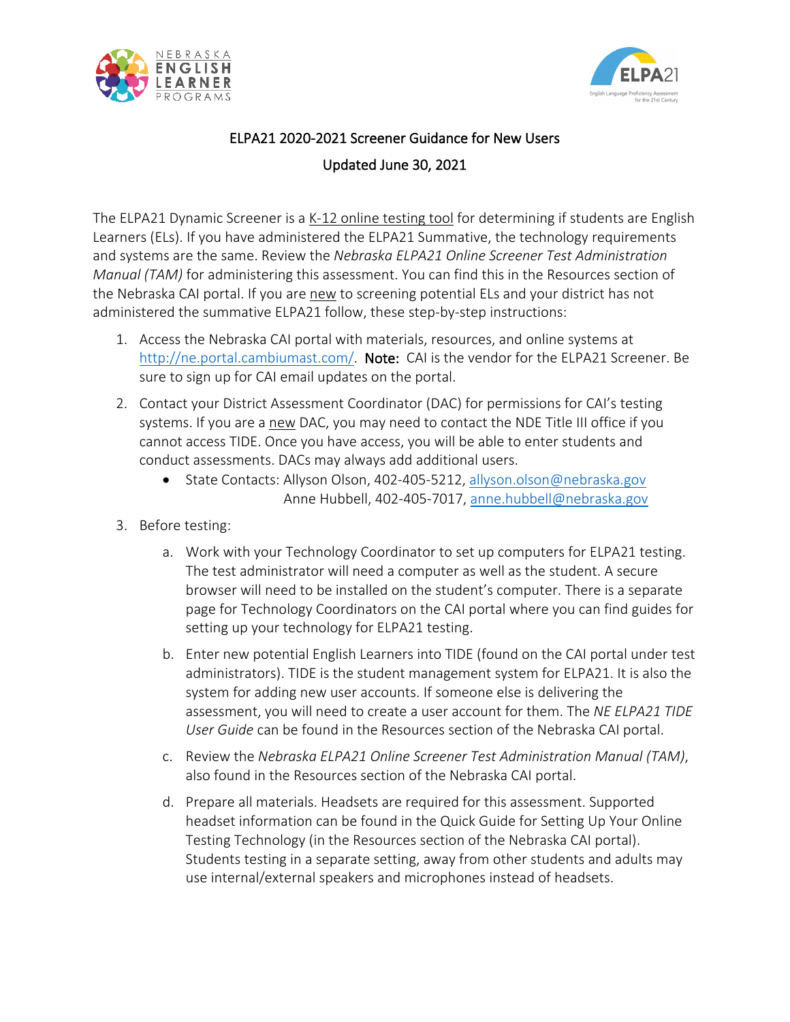



## ELPA21 2020-2021 Screener Guidance for New Users Updated June 30, 2021

The ELPA21 Dynamic Screener is a K-12 online testing tool for determining if students are English Learners (ELs). If you have administered the ELPA21 Summative, the technology requirements and systems are the same. Review the *Nebraska ELPA21 Online Screener Test Administration Manual (TAM)* for administering this assessment. You can find this in the Resources section of the Nebraska CAI portal. If you are new to screening potential ELs and your district has not administered the summative ELPA21 follow, these step-by-step instructions:

- 1. Access the Nebraska CAI portal with materials, resources, and online systems at [http://ne.portal.cambiumast.com/.](http://ne.portal.cambiumast.com/) Note: CAI is the vendor for the ELPA21 Screener. Be sure to sign up for CAI email updates on the portal.
- 2. Contact your District Assessment Coordinator (DAC) for permissions for CAI's testing systems. If you are a new DAC, you may need to contact the NDE Title III office if you cannot access TIDE. Once you have access, you will be able to enter students and conduct assessments. DACs may always add additional users.
	- State Contacts: Allyson Olson, 402-405-5212, [allyson.olson@nebraska.gov](mailto:allyson.olson@nebraska.gov) Anne Hubbell, 402-405-7017, anne.hubbell@nebraska.gov
- 3. Before testing:
	- a. Work with your Technology Coordinator to set up computers for ELPA21 testing. The test administrator will need a computer as well as the student. A secure browser will need to be installed on the student's computer. There is a separate page for Technology Coordinators on the CAI portal where you can find guides for setting up your technology for ELPA21 testing.
	- b. Enter new potential English Learners into TIDE (found on the CAI portal under test administrators). TIDE is the student management system for ELPA21. It is also the system for adding new user accounts. If someone else is delivering the assessment, you will need to create a user account for them. The *NE ELPA21 TIDE User Guide* can be found in the Resources section of the Nebraska CAI portal.
	- c. Review the *Nebraska ELPA21 Online Screener Test Administration Manual (TAM)*, also found in the Resources section of the Nebraska CAI portal.
	- d. Prepare all materials. Headsets are required for this assessment. Supported headset information can be found in the Quick Guide for Setting Up Your Online Testing Technology (in the Resources section of the Nebraska CAI portal). Students testing in a separate setting, away from other students and adults may use internal/external speakers and microphones instead of headsets.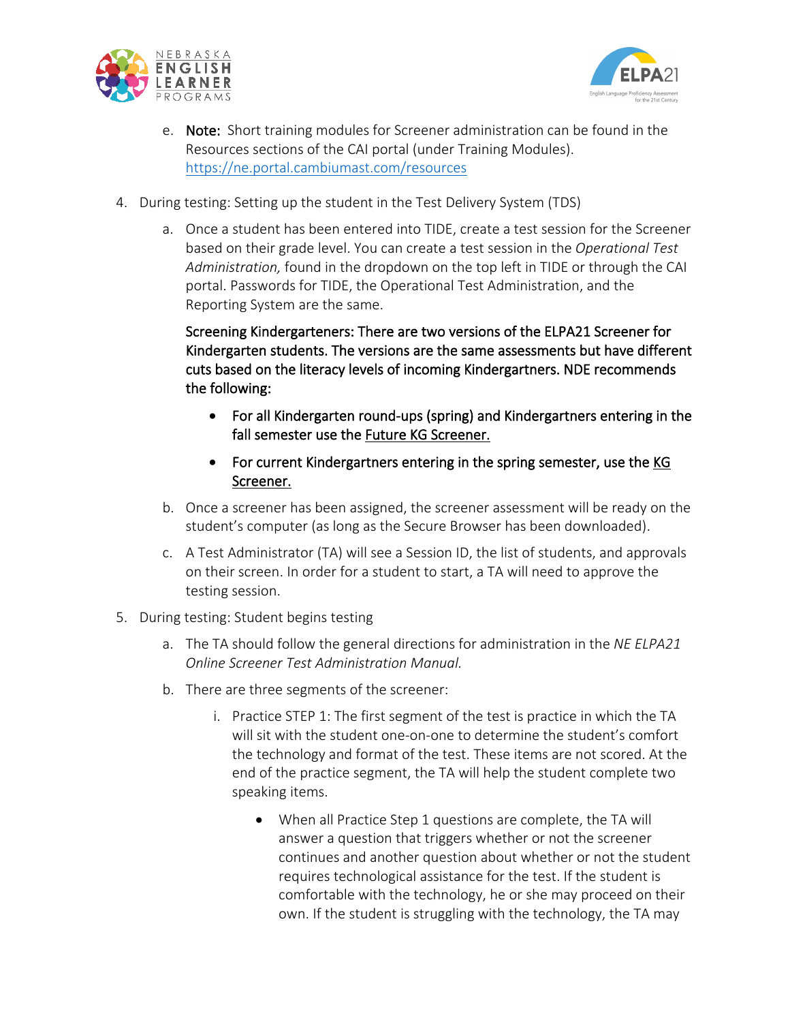



- e. Note: Short training modules for Screener administration can be found in the Resources sections of the CAI portal (under Training Modules). <https://ne.portal.cambiumast.com/resources>
- 4. During testing: Setting up the student in the Test Delivery System (TDS)
	- a. Once a student has been entered into TIDE, create a test session for the Screener based on their grade level. You can create a test session in the *Operational Test Administration,* found in the dropdown on the top left in TIDE or through the CAI portal. Passwords for TIDE, the Operational Test Administration, and the Reporting System are the same.

Screening Kindergarteners: There are two versions of the ELPA21 Screener for Kindergarten students. The versions are the same assessments but have different cuts based on the literacy levels of incoming Kindergartners. NDE recommends the following:

- For all Kindergarten round-ups (spring) and Kindergartners entering in the fall semester use the Future KG Screener.
- For current Kindergartners entering in the spring semester, use the KG Screener.
- b. Once a screener has been assigned, the screener assessment will be ready on the student's computer (as long as the Secure Browser has been downloaded).
- c. A Test Administrator (TA) will see a Session ID, the list of students, and approvals on their screen. In order for a student to start, a TA will need to approve the testing session.
- 5. During testing: Student begins testing
	- a. The TA should follow the general directions for administration in the *NE ELPA21 Online Screener Test Administration Manual.*
	- b. There are three segments of the screener:
		- i. Practice STEP 1: The first segment of the test is practice in which the TA will sit with the student one-on-one to determine the student's comfort the technology and format of the test. These items are not scored. At the end of the practice segment, the TA will help the student complete two speaking items.
			- When all Practice Step 1 questions are complete, the TA will answer a question that triggers whether or not the screener continues and another question about whether or not the student requires technological assistance for the test. If the student is comfortable with the technology, he or she may proceed on their own. If the student is struggling with the technology, the TA may